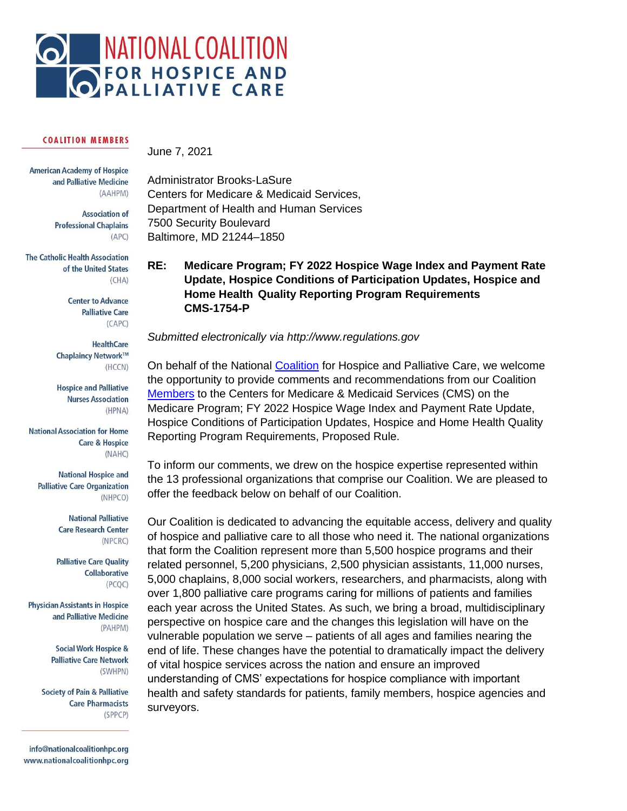

#### **COALITION MEMBERS**

**American Academy of Hospice** and Palliative Medicine (AAHPM)

> **Association of Professional Chaplains**  $(APC)$

**The Catholic Health Association** of the United States  $(CHA)$ 

> **Center to Advance Palliative Care**  $(CAPC)$

**HealthCare** Chaplaincy Network™ (HCCN)

**Hospice and Palliative Nurses Association** (HPNA)

**National Association for Home Care & Hospice** (NAHC)

**National Hospice and Palliative Care Organization** (NHPCO)

> **National Palliative Care Research Center** (NPCRC)

**Palliative Care Quality** Collaborative  $(PCQC)$ 

**Physician Assistants in Hospice** and Palliative Medicine (PAHPM)

> **Social Work Hospice & Palliative Care Network** (SWHPN)

**Society of Pain & Palliative Care Pharmacists** (SPPCP)

info@nationalcoalitionhpc.org www.nationalcoalitionhpc.org June 7, 2021

Administrator Brooks-LaSure Centers for Medicare & Medicaid Services, Department of Health and Human Services 7500 Security Boulevard Baltimore, MD 21244–1850

# **RE: Medicare Program; FY 2022 Hospice Wage Index and Payment Rate Update, Hospice Conditions of Participation Updates, Hospice and Home Health Quality Reporting Program Requirements CMS-1754-P**

*Submitted electronically via http://www.regulations.gov*

On behalf of the National [Coalition](https://www.nationalcoalitionhpc.org/) for Hospice and Palliative Care, we welcome the opportunity to provide comments and recommendations from our Coalition [Members](https://www.nationalcoalitionhpc.org/our-members/) to the Centers for Medicare & Medicaid Services (CMS) on the Medicare Program; FY 2022 Hospice Wage Index and Payment Rate Update, Hospice Conditions of Participation Updates, Hospice and Home Health Quality Reporting Program Requirements, Proposed Rule.

To inform our comments, we drew on the hospice expertise represented within the 13 professional organizations that comprise our Coalition. We are pleased to offer the feedback below on behalf of our Coalition.

Our Coalition is dedicated to advancing the equitable access, delivery and quality of hospice and palliative care to all those who need it. The national organizations that form the Coalition represent more than 5,500 hospice programs and their related personnel, 5,200 physicians, 2,500 physician assistants, 11,000 nurses, 5,000 chaplains, 8,000 social workers, researchers, and pharmacists, along with over 1,800 palliative care programs caring for millions of patients and families each year across the United States. As such, we bring a broad, multidisciplinary perspective on hospice care and the changes this legislation will have on the vulnerable population we serve – patients of all ages and families nearing the end of life. These changes have the potential to dramatically impact the delivery of vital hospice services across the nation and ensure an improved understanding of CMS' expectations for hospice compliance with important health and safety standards for patients, family members, hospice agencies and surveyors.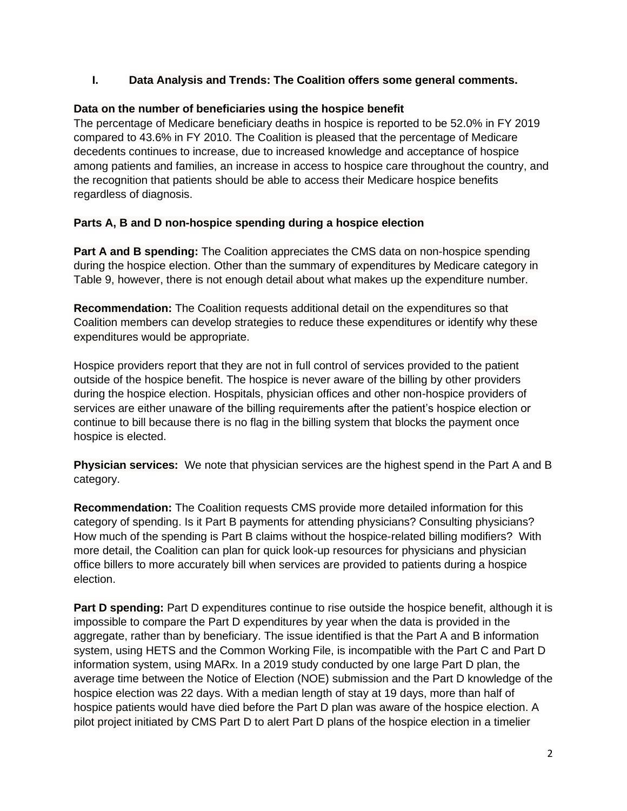### **I. Data Analysis and Trends: The Coalition offers some general comments.**

#### **Data on the number of beneficiaries using the hospice benefit**

The percentage of Medicare beneficiary deaths in hospice is reported to be 52.0% in FY 2019 compared to 43.6% in FY 2010. The Coalition is pleased that the percentage of Medicare decedents continues to increase, due to increased knowledge and acceptance of hospice among patients and families, an increase in access to hospice care throughout the country, and the recognition that patients should be able to access their Medicare hospice benefits regardless of diagnosis.

#### **Parts A, B and D non-hospice spending during a hospice election**

**Part A and B spending:** The Coalition appreciates the CMS data on non-hospice spending during the hospice election. Other than the summary of expenditures by Medicare category in Table 9, however, there is not enough detail about what makes up the expenditure number.

**Recommendation:** The Coalition requests additional detail on the expenditures so that Coalition members can develop strategies to reduce these expenditures or identify why these expenditures would be appropriate.

Hospice providers report that they are not in full control of services provided to the patient outside of the hospice benefit. The hospice is never aware of the billing by other providers during the hospice election. Hospitals, physician offices and other non-hospice providers of services are either unaware of the billing requirements after the patient's hospice election or continue to bill because there is no flag in the billing system that blocks the payment once hospice is elected.

**Physician services:** We note that physician services are the highest spend in the Part A and B category.

**Recommendation:** The Coalition requests CMS provide more detailed information for this category of spending. Is it Part B payments for attending physicians? Consulting physicians? How much of the spending is Part B claims without the hospice-related billing modifiers? With more detail, the Coalition can plan for quick look-up resources for physicians and physician office billers to more accurately bill when services are provided to patients during a hospice election.

**Part D spending:** Part D expenditures continue to rise outside the hospice benefit, although it is impossible to compare the Part D expenditures by year when the data is provided in the aggregate, rather than by beneficiary. The issue identified is that the Part A and B information system, using HETS and the Common Working File, is incompatible with the Part C and Part D information system, using MARx. In a 2019 study conducted by one large Part D plan, the average time between the Notice of Election (NOE) submission and the Part D knowledge of the hospice election was 22 days. With a median length of stay at 19 days, more than half of hospice patients would have died before the Part D plan was aware of the hospice election. A pilot project initiated by CMS Part D to alert Part D plans of the hospice election in a timelier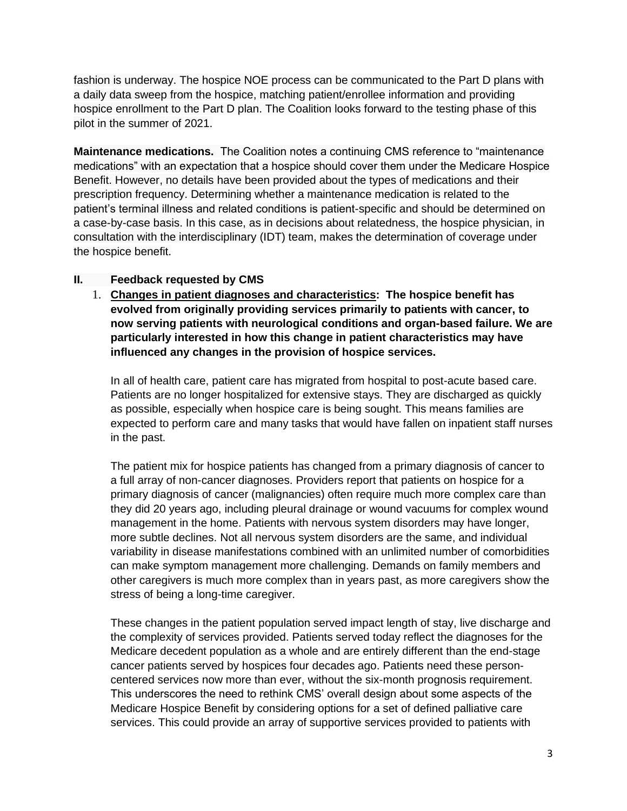fashion is underway. The hospice NOE process can be communicated to the Part D plans with a daily data sweep from the hospice, matching patient/enrollee information and providing hospice enrollment to the Part D plan. The Coalition looks forward to the testing phase of this pilot in the summer of 2021.

**Maintenance medications.** The Coalition notes a continuing CMS reference to "maintenance medications" with an expectation that a hospice should cover them under the Medicare Hospice Benefit. However, no details have been provided about the types of medications and their prescription frequency. Determining whether a maintenance medication is related to the patient's terminal illness and related conditions is patient-specific and should be determined on a case-by-case basis. In this case, as in decisions about relatedness, the hospice physician, in consultation with the interdisciplinary (IDT) team, makes the determination of coverage under the hospice benefit.

#### **II. Feedback requested by CMS**

1. **Changes in patient diagnoses and characteristics: The hospice benefit has evolved from originally providing services primarily to patients with cancer, to now serving patients with neurological conditions and organ-based failure. We are particularly interested in how this change in patient characteristics may have influenced any changes in the provision of hospice services.**

In all of health care, patient care has migrated from hospital to post-acute based care. Patients are no longer hospitalized for extensive stays. They are discharged as quickly as possible, especially when hospice care is being sought. This means families are expected to perform care and many tasks that would have fallen on inpatient staff nurses in the past.

The patient mix for hospice patients has changed from a primary diagnosis of cancer to a full array of non-cancer diagnoses. Providers report that patients on hospice for a primary diagnosis of cancer (malignancies) often require much more complex care than they did 20 years ago, including pleural drainage or wound vacuums for complex wound management in the home. Patients with nervous system disorders may have longer, more subtle declines. Not all nervous system disorders are the same, and individual variability in disease manifestations combined with an unlimited number of comorbidities can make symptom management more challenging. Demands on family members and other caregivers is much more complex than in years past, as more caregivers show the stress of being a long-time caregiver.

These changes in the patient population served impact length of stay, live discharge and the complexity of services provided. Patients served today reflect the diagnoses for the Medicare decedent population as a whole and are entirely different than the end-stage cancer patients served by hospices four decades ago. Patients need these personcentered services now more than ever, without the six-month prognosis requirement. This underscores the need to rethink CMS' overall design about some aspects of the Medicare Hospice Benefit by considering options for a set of defined palliative care services. This could provide an array of supportive services provided to patients with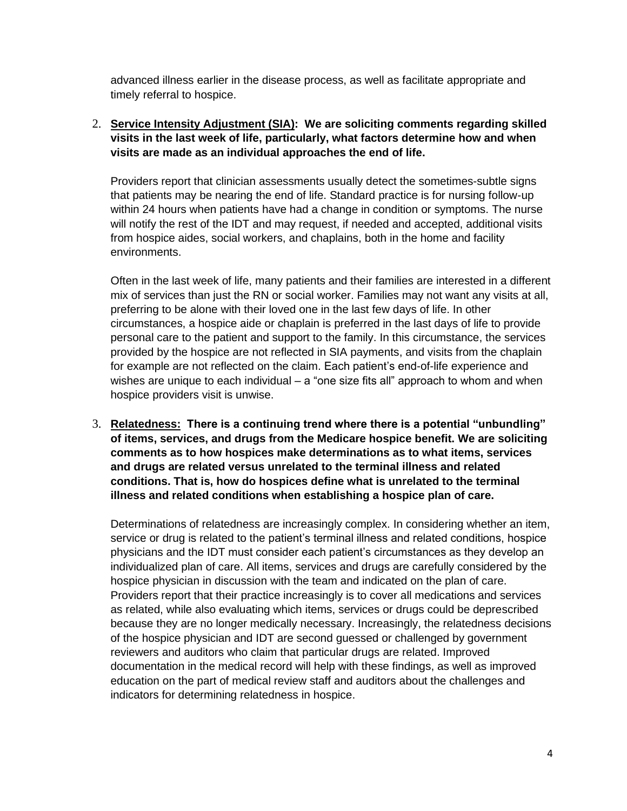advanced illness earlier in the disease process, as well as facilitate appropriate and timely referral to hospice.

2. **Service Intensity Adjustment (SIA): We are soliciting comments regarding skilled visits in the last week of life, particularly, what factors determine how and when visits are made as an individual approaches the end of life.**

Providers report that clinician assessments usually detect the sometimes-subtle signs that patients may be nearing the end of life. Standard practice is for nursing follow-up within 24 hours when patients have had a change in condition or symptoms. The nurse will notify the rest of the IDT and may request, if needed and accepted, additional visits from hospice aides, social workers, and chaplains, both in the home and facility environments.

Often in the last week of life, many patients and their families are interested in a different mix of services than just the RN or social worker. Families may not want any visits at all, preferring to be alone with their loved one in the last few days of life. In other circumstances, a hospice aide or chaplain is preferred in the last days of life to provide personal care to the patient and support to the family. In this circumstance, the services provided by the hospice are not reflected in SIA payments, and visits from the chaplain for example are not reflected on the claim. Each patient's end-of-life experience and wishes are unique to each individual – a "one size fits all" approach to whom and when hospice providers visit is unwise.

3. **Relatedness: There is a continuing trend where there is a potential "unbundling" of items, services, and drugs from the Medicare hospice benefit. We are soliciting comments as to how hospices make determinations as to what items, services and drugs are related versus unrelated to the terminal illness and related conditions. That is, how do hospices define what is unrelated to the terminal illness and related conditions when establishing a hospice plan of care.**

Determinations of relatedness are increasingly complex. In considering whether an item, service or drug is related to the patient's terminal illness and related conditions, hospice physicians and the IDT must consider each patient's circumstances as they develop an individualized plan of care. All items, services and drugs are carefully considered by the hospice physician in discussion with the team and indicated on the plan of care. Providers report that their practice increasingly is to cover all medications and services as related, while also evaluating which items, services or drugs could be deprescribed because they are no longer medically necessary. Increasingly, the relatedness decisions of the hospice physician and IDT are second guessed or challenged by government reviewers and auditors who claim that particular drugs are related. Improved documentation in the medical record will help with these findings, as well as improved education on the part of medical review staff and auditors about the challenges and indicators for determining relatedness in hospice.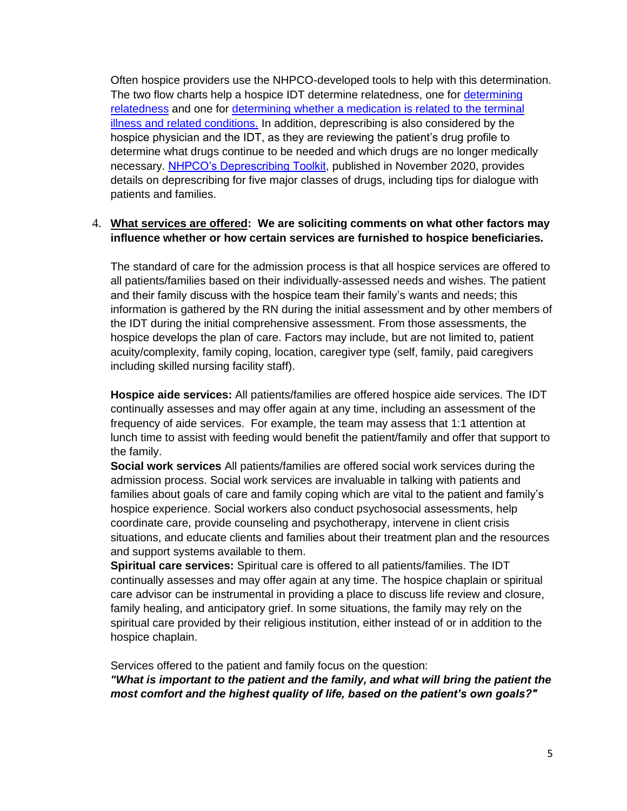Often hospice providers use the NHPCO-developed tools to help with this determination. The two flow charts help a hospice IDT determine relatedness, one for [determining](https://www.nhpco.org/wp-content/uploads/NHPCO-Relatedness-Process-Flow_Revised-Version-2.0-2020vFINAL.pdf)  [relatedness](https://www.nhpco.org/wp-content/uploads/NHPCO-Relatedness-Process-Flow_Revised-Version-2.0-2020vFINAL.pdf) and one for [determining whether a medication is related to the terminal](https://www.nhpco.org/wp-content/uploads/NHPCO-Medication-Flow-Chart-_Apr-2020vFinal.pdf)  [illness and related conditions.](https://www.nhpco.org/wp-content/uploads/NHPCO-Medication-Flow-Chart-_Apr-2020vFinal.pdf) In addition, deprescribing is also considered by the hospice physician and the IDT, as they are reviewing the patient's drug profile to determine what drugs continue to be needed and which drugs are no longer medically necessary. [NHPCO's Deprescribing Toolkit,](https://www.nhpco.org/wp-content/uploads/NHPCO_Deprescribing_Toolkit.pdf) published in November 2020, provides details on deprescribing for five major classes of drugs, including tips for dialogue with patients and families.

### 4. **What services are offered: We are soliciting comments on what other factors may influence whether or how certain services are furnished to hospice beneficiaries.**

The standard of care for the admission process is that all hospice services are offered to all patients/families based on their individually-assessed needs and wishes. The patient and their family discuss with the hospice team their family's wants and needs; this information is gathered by the RN during the initial assessment and by other members of the IDT during the initial comprehensive assessment. From those assessments, the hospice develops the plan of care. Factors may include, but are not limited to, patient acuity/complexity, family coping, location, caregiver type (self, family, paid caregivers including skilled nursing facility staff).

**Hospice aide services:** All patients/families are offered hospice aide services. The IDT continually assesses and may offer again at any time, including an assessment of the frequency of aide services. For example, the team may assess that 1:1 attention at lunch time to assist with feeding would benefit the patient/family and offer that support to the family.

**Social work services** All patients/families are offered social work services during the admission process. Social work services are invaluable in talking with patients and families about goals of care and family coping which are vital to the patient and family's hospice experience. Social workers also conduct psychosocial assessments, help coordinate care, provide counseling and psychotherapy, intervene in client crisis situations, and educate clients and families about their treatment plan and the resources and support systems available to them.

**Spiritual care services:** Spiritual care is offered to all patients/families. The IDT continually assesses and may offer again at any time. The hospice chaplain or spiritual care advisor can be instrumental in providing a place to discuss life review and closure, family healing, and anticipatory grief. In some situations, the family may rely on the spiritual care provided by their religious institution, either instead of or in addition to the hospice chaplain.

Services offered to the patient and family focus on the question: *"What is important to the patient and the family, and what will bring the patient the most comfort and the highest quality of life, based on the patient's own goals?"*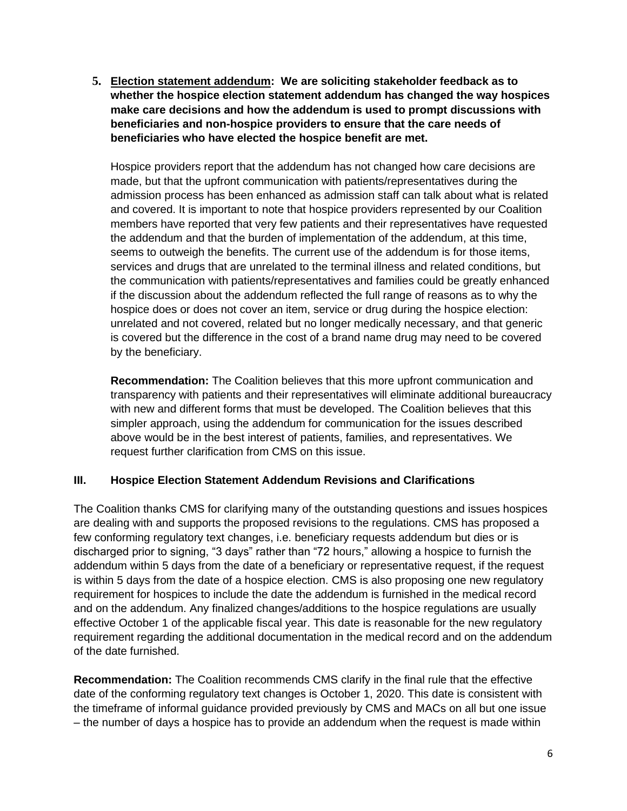**5. Election statement addendum: We are soliciting stakeholder feedback as to whether the hospice election statement addendum has changed the way hospices make care decisions and how the addendum is used to prompt discussions with beneficiaries and non-hospice providers to ensure that the care needs of beneficiaries who have elected the hospice benefit are met.**

Hospice providers report that the addendum has not changed how care decisions are made, but that the upfront communication with patients/representatives during the admission process has been enhanced as admission staff can talk about what is related and covered. It is important to note that hospice providers represented by our Coalition members have reported that very few patients and their representatives have requested the addendum and that the burden of implementation of the addendum, at this time, seems to outweigh the benefits. The current use of the addendum is for those items, services and drugs that are unrelated to the terminal illness and related conditions, but the communication with patients/representatives and families could be greatly enhanced if the discussion about the addendum reflected the full range of reasons as to why the hospice does or does not cover an item, service or drug during the hospice election: unrelated and not covered, related but no longer medically necessary, and that generic is covered but the difference in the cost of a brand name drug may need to be covered by the beneficiary.

**Recommendation:** The Coalition believes that this more upfront communication and transparency with patients and their representatives will eliminate additional bureaucracy with new and different forms that must be developed. The Coalition believes that this simpler approach, using the addendum for communication for the issues described above would be in the best interest of patients, families, and representatives. We request further clarification from CMS on this issue.

# **III. Hospice Election Statement Addendum Revisions and Clarifications**

The Coalition thanks CMS for clarifying many of the outstanding questions and issues hospices are dealing with and supports the proposed revisions to the regulations. CMS has proposed a few conforming regulatory text changes, i.e. beneficiary requests addendum but dies or is discharged prior to signing, "3 days" rather than "72 hours," allowing a hospice to furnish the addendum within 5 days from the date of a beneficiary or representative request, if the request is within 5 days from the date of a hospice election. CMS is also proposing one new regulatory requirement for hospices to include the date the addendum is furnished in the medical record and on the addendum. Any finalized changes/additions to the hospice regulations are usually effective October 1 of the applicable fiscal year. This date is reasonable for the new regulatory requirement regarding the additional documentation in the medical record and on the addendum of the date furnished.

**Recommendation:** The Coalition recommends CMS clarify in the final rule that the effective date of the conforming regulatory text changes is October 1, 2020. This date is consistent with the timeframe of informal guidance provided previously by CMS and MACs on all but one issue – the number of days a hospice has to provide an addendum when the request is made within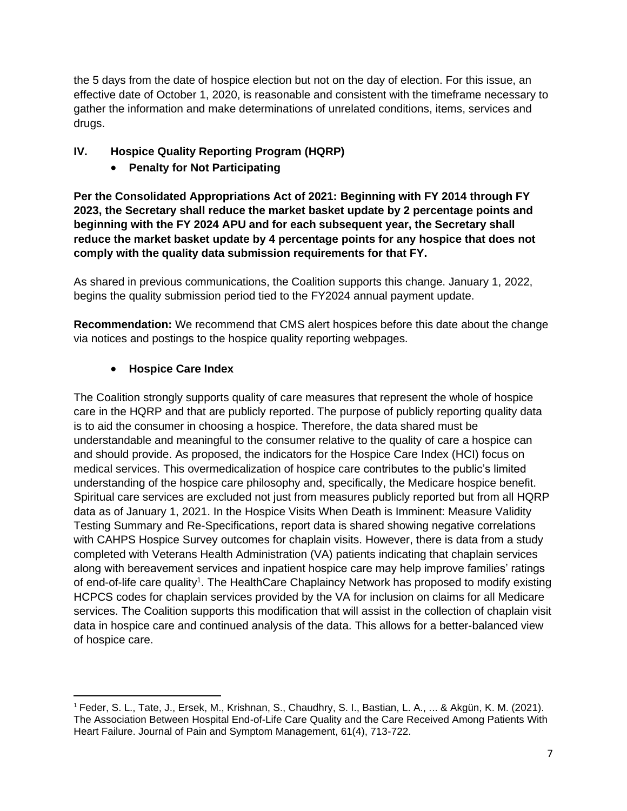the 5 days from the date of hospice election but not on the day of election. For this issue, an effective date of October 1, 2020, is reasonable and consistent with the timeframe necessary to gather the information and make determinations of unrelated conditions, items, services and drugs.

# **IV. Hospice Quality Reporting Program (HQRP)**

# • **Penalty for Not Participating**

**Per the Consolidated Appropriations Act of 2021: Beginning with FY 2014 through FY 2023, the Secretary shall reduce the market basket update by 2 percentage points and beginning with the FY 2024 APU and for each subsequent year, the Secretary shall reduce the market basket update by 4 percentage points for any hospice that does not comply with the quality data submission requirements for that FY.**

As shared in previous communications, the Coalition supports this change. January 1, 2022, begins the quality submission period tied to the FY2024 annual payment update.

**Recommendation:** We recommend that CMS alert hospices before this date about the change via notices and postings to the hospice quality reporting webpages.

# • **Hospice Care Index**

The Coalition strongly supports quality of care measures that represent the whole of hospice care in the HQRP and that are publicly reported. The purpose of publicly reporting quality data is to aid the consumer in choosing a hospice. Therefore, the data shared must be understandable and meaningful to the consumer relative to the quality of care a hospice can and should provide. As proposed, the indicators for the Hospice Care Index (HCI) focus on medical services. This overmedicalization of hospice care contributes to the public's limited understanding of the hospice care philosophy and, specifically, the Medicare hospice benefit. Spiritual care services are excluded not just from measures publicly reported but from all HQRP data as of January 1, 2021. In the Hospice Visits When Death is Imminent: Measure Validity Testing Summary and Re-Specifications, report data is shared showing negative correlations with CAHPS Hospice Survey outcomes for chaplain visits. However, there is data from a study completed with Veterans Health Administration (VA) patients indicating that chaplain services along with bereavement services and inpatient hospice care may help improve families' ratings of end-of-life care quality<sup>1</sup>. The HealthCare Chaplaincy Network has proposed to modify existing HCPCS codes for chaplain services provided by the VA for inclusion on claims for all Medicare services. The Coalition supports this modification that will assist in the collection of chaplain visit data in hospice care and continued analysis of the data. This allows for a better-balanced view of hospice care.

<sup>1</sup> Feder, S. L., Tate, J., Ersek, M., Krishnan, S., Chaudhry, S. I., Bastian, L. A., ... & Akgün, K. M. (2021). The Association Between Hospital End-of-Life Care Quality and the Care Received Among Patients With Heart Failure. Journal of Pain and Symptom Management, 61(4), 713-722.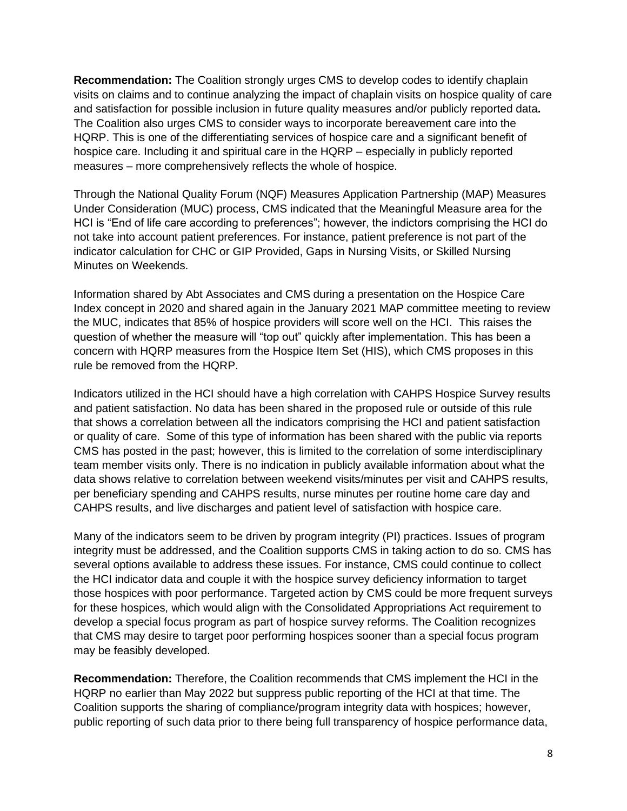**Recommendation:** The Coalition strongly urges CMS to develop codes to identify chaplain visits on claims and to continue analyzing the impact of chaplain visits on hospice quality of care and satisfaction for possible inclusion in future quality measures and/or publicly reported data**.**  The Coalition also urges CMS to consider ways to incorporate bereavement care into the HQRP. This is one of the differentiating services of hospice care and a significant benefit of hospice care. Including it and spiritual care in the HQRP – especially in publicly reported measures – more comprehensively reflects the whole of hospice.

Through the National Quality Forum (NQF) Measures Application Partnership (MAP) Measures Under Consideration (MUC) process, CMS indicated that the Meaningful Measure area for the HCI is "End of life care according to preferences"; however, the indictors comprising the HCI do not take into account patient preferences. For instance, patient preference is not part of the indicator calculation for CHC or GIP Provided, Gaps in Nursing Visits, or Skilled Nursing Minutes on Weekends.

Information shared by Abt Associates and CMS during a presentation on the Hospice Care Index concept in 2020 and shared again in the January 2021 MAP committee meeting to review the MUC, indicates that 85% of hospice providers will score well on the HCI. This raises the question of whether the measure will "top out" quickly after implementation. This has been a concern with HQRP measures from the Hospice Item Set (HIS), which CMS proposes in this rule be removed from the HQRP.

Indicators utilized in the HCI should have a high correlation with CAHPS Hospice Survey results and patient satisfaction. No data has been shared in the proposed rule or outside of this rule that shows a correlation between all the indicators comprising the HCI and patient satisfaction or quality of care. Some of this type of information has been shared with the public via reports CMS has posted in the past; however, this is limited to the correlation of some interdisciplinary team member visits only. There is no indication in publicly available information about what the data shows relative to correlation between weekend visits/minutes per visit and CAHPS results, per beneficiary spending and CAHPS results, nurse minutes per routine home care day and CAHPS results, and live discharges and patient level of satisfaction with hospice care.

Many of the indicators seem to be driven by program integrity (PI) practices. Issues of program integrity must be addressed, and the Coalition supports CMS in taking action to do so. CMS has several options available to address these issues. For instance, CMS could continue to collect the HCI indicator data and couple it with the hospice survey deficiency information to target those hospices with poor performance. Targeted action by CMS could be more frequent surveys for these hospices, which would align with the Consolidated Appropriations Act requirement to develop a special focus program as part of hospice survey reforms. The Coalition recognizes that CMS may desire to target poor performing hospices sooner than a special focus program may be feasibly developed.

**Recommendation:** Therefore, the Coalition recommends that CMS implement the HCI in the HQRP no earlier than May 2022 but suppress public reporting of the HCI at that time. The Coalition supports the sharing of compliance/program integrity data with hospices; however, public reporting of such data prior to there being full transparency of hospice performance data,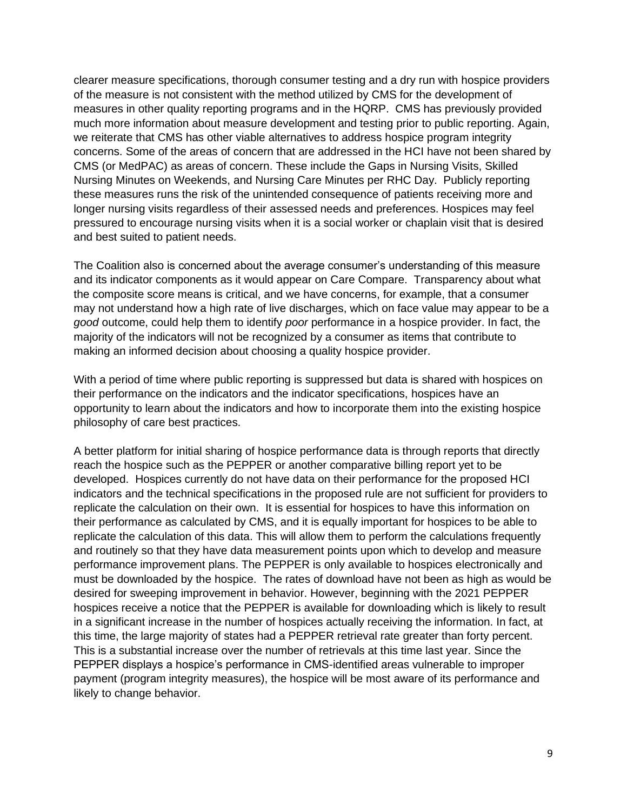clearer measure specifications, thorough consumer testing and a dry run with hospice providers of the measure is not consistent with the method utilized by CMS for the development of measures in other quality reporting programs and in the HQRP. CMS has previously provided much more information about measure development and testing prior to public reporting. Again, we reiterate that CMS has other viable alternatives to address hospice program integrity concerns. Some of the areas of concern that are addressed in the HCI have not been shared by CMS (or MedPAC) as areas of concern. These include the Gaps in Nursing Visits, Skilled Nursing Minutes on Weekends, and Nursing Care Minutes per RHC Day. Publicly reporting these measures runs the risk of the unintended consequence of patients receiving more and longer nursing visits regardless of their assessed needs and preferences. Hospices may feel pressured to encourage nursing visits when it is a social worker or chaplain visit that is desired and best suited to patient needs.

The Coalition also is concerned about the average consumer's understanding of this measure and its indicator components as it would appear on Care Compare. Transparency about what the composite score means is critical, and we have concerns, for example, that a consumer may not understand how a high rate of live discharges, which on face value may appear to be a *good* outcome, could help them to identify *poor* performance in a hospice provider. In fact, the majority of the indicators will not be recognized by a consumer as items that contribute to making an informed decision about choosing a quality hospice provider.

With a period of time where public reporting is suppressed but data is shared with hospices on their performance on the indicators and the indicator specifications, hospices have an opportunity to learn about the indicators and how to incorporate them into the existing hospice philosophy of care best practices.

A better platform for initial sharing of hospice performance data is through reports that directly reach the hospice such as the PEPPER or another comparative billing report yet to be developed. Hospices currently do not have data on their performance for the proposed HCI indicators and the technical specifications in the proposed rule are not sufficient for providers to replicate the calculation on their own. It is essential for hospices to have this information on their performance as calculated by CMS, and it is equally important for hospices to be able to replicate the calculation of this data. This will allow them to perform the calculations frequently and routinely so that they have data measurement points upon which to develop and measure performance improvement plans. The PEPPER is only available to hospices electronically and must be downloaded by the hospice. The rates of download have not been as high as would be desired for sweeping improvement in behavior. However, beginning with the 2021 PEPPER hospices receive a notice that the PEPPER is available for downloading which is likely to result in a significant increase in the number of hospices actually receiving the information. In fact, at this time, the large majority of states had a PEPPER retrieval rate greater than forty percent. This is a substantial increase over the number of retrievals at this time last year. Since the PEPPER displays a hospice's performance in CMS-identified areas vulnerable to improper payment (program integrity measures), the hospice will be most aware of its performance and likely to change behavior.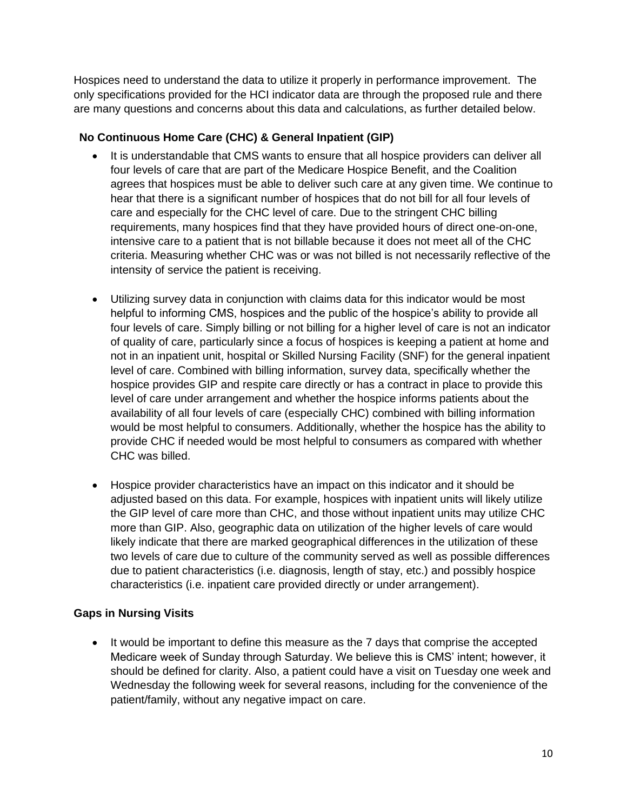Hospices need to understand the data to utilize it properly in performance improvement. The only specifications provided for the HCI indicator data are through the proposed rule and there are many questions and concerns about this data and calculations, as further detailed below.

# **No Continuous Home Care (CHC) & General Inpatient (GIP)**

- It is understandable that CMS wants to ensure that all hospice providers can deliver all four levels of care that are part of the Medicare Hospice Benefit, and the Coalition agrees that hospices must be able to deliver such care at any given time. We continue to hear that there is a significant number of hospices that do not bill for all four levels of care and especially for the CHC level of care. Due to the stringent CHC billing requirements, many hospices find that they have provided hours of direct one-on-one, intensive care to a patient that is not billable because it does not meet all of the CHC criteria. Measuring whether CHC was or was not billed is not necessarily reflective of the intensity of service the patient is receiving.
- Utilizing survey data in conjunction with claims data for this indicator would be most helpful to informing CMS, hospices and the public of the hospice's ability to provide all four levels of care. Simply billing or not billing for a higher level of care is not an indicator of quality of care, particularly since a focus of hospices is keeping a patient at home and not in an inpatient unit, hospital or Skilled Nursing Facility (SNF) for the general inpatient level of care. Combined with billing information, survey data, specifically whether the hospice provides GIP and respite care directly or has a contract in place to provide this level of care under arrangement and whether the hospice informs patients about the availability of all four levels of care (especially CHC) combined with billing information would be most helpful to consumers. Additionally, whether the hospice has the ability to provide CHC if needed would be most helpful to consumers as compared with whether CHC was billed.
- Hospice provider characteristics have an impact on this indicator and it should be adjusted based on this data. For example, hospices with inpatient units will likely utilize the GIP level of care more than CHC, and those without inpatient units may utilize CHC more than GIP. Also, geographic data on utilization of the higher levels of care would likely indicate that there are marked geographical differences in the utilization of these two levels of care due to culture of the community served as well as possible differences due to patient characteristics (i.e. diagnosis, length of stay, etc.) and possibly hospice characteristics (i.e. inpatient care provided directly or under arrangement).

# **Gaps in Nursing Visits**

It would be important to define this measure as the 7 days that comprise the accepted Medicare week of Sunday through Saturday. We believe this is CMS' intent; however, it should be defined for clarity. Also, a patient could have a visit on Tuesday one week and Wednesday the following week for several reasons, including for the convenience of the patient/family, without any negative impact on care.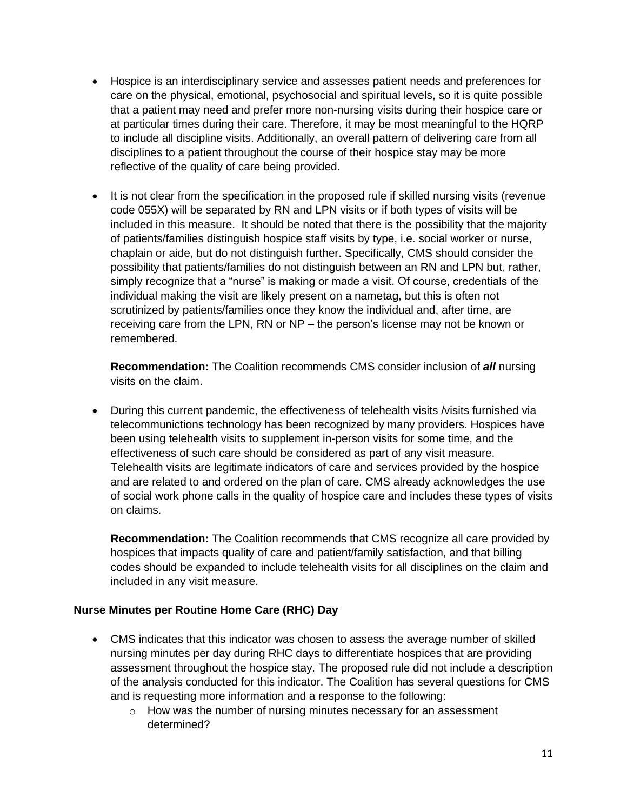- Hospice is an interdisciplinary service and assesses patient needs and preferences for care on the physical, emotional, psychosocial and spiritual levels, so it is quite possible that a patient may need and prefer more non-nursing visits during their hospice care or at particular times during their care. Therefore, it may be most meaningful to the HQRP to include all discipline visits. Additionally, an overall pattern of delivering care from all disciplines to a patient throughout the course of their hospice stay may be more reflective of the quality of care being provided.
- It is not clear from the specification in the proposed rule if skilled nursing visits (revenue code 055X) will be separated by RN and LPN visits or if both types of visits will be included in this measure. It should be noted that there is the possibility that the majority of patients/families distinguish hospice staff visits by type, i.e. social worker or nurse, chaplain or aide, but do not distinguish further. Specifically, CMS should consider the possibility that patients/families do not distinguish between an RN and LPN but, rather, simply recognize that a "nurse" is making or made a visit. Of course, credentials of the individual making the visit are likely present on a nametag, but this is often not scrutinized by patients/families once they know the individual and, after time, are receiving care from the LPN, RN or NP – the person's license may not be known or remembered.

**Recommendation:** The Coalition recommends CMS consider inclusion of *all* nursing visits on the claim.

• During this current pandemic, the effectiveness of telehealth visits /visits furnished via telecommunictions technology has been recognized by many providers. Hospices have been using telehealth visits to supplement in-person visits for some time, and the effectiveness of such care should be considered as part of any visit measure. Telehealth visits are legitimate indicators of care and services provided by the hospice and are related to and ordered on the plan of care. CMS already acknowledges the use of social work phone calls in the quality of hospice care and includes these types of visits on claims.

**Recommendation:** The Coalition recommends that CMS recognize all care provided by hospices that impacts quality of care and patient/family satisfaction, and that billing codes should be expanded to include telehealth visits for all disciplines on the claim and included in any visit measure.

#### **Nurse Minutes per Routine Home Care (RHC) Day**

- CMS indicates that this indicator was chosen to assess the average number of skilled nursing minutes per day during RHC days to differentiate hospices that are providing assessment throughout the hospice stay. The proposed rule did not include a description of the analysis conducted for this indicator. The Coalition has several questions for CMS and is requesting more information and a response to the following:
	- o How was the number of nursing minutes necessary for an assessment determined?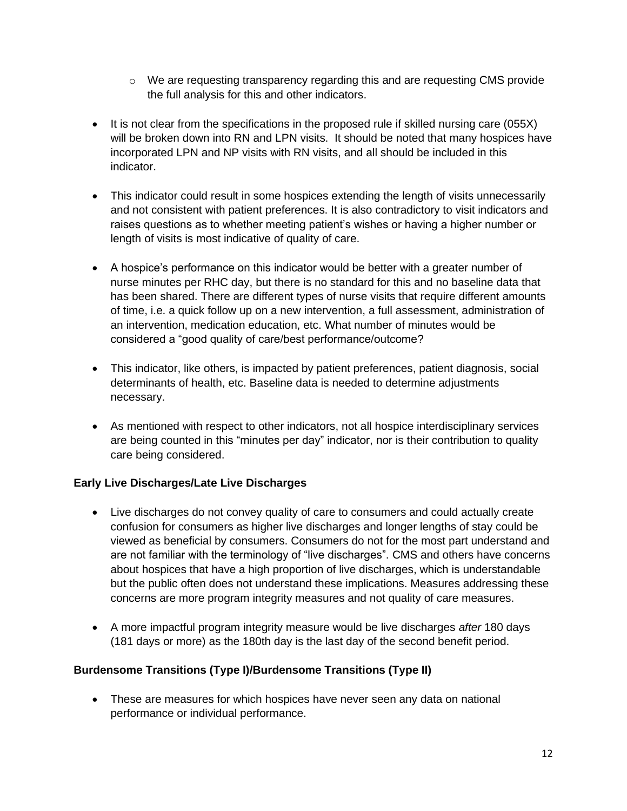- $\circ$  We are requesting transparency regarding this and are requesting CMS provide the full analysis for this and other indicators.
- It is not clear from the specifications in the proposed rule if skilled nursing care (055X) will be broken down into RN and LPN visits. It should be noted that many hospices have incorporated LPN and NP visits with RN visits, and all should be included in this indicator.
- This indicator could result in some hospices extending the length of visits unnecessarily and not consistent with patient preferences. It is also contradictory to visit indicators and raises questions as to whether meeting patient's wishes or having a higher number or length of visits is most indicative of quality of care.
- A hospice's performance on this indicator would be better with a greater number of nurse minutes per RHC day, but there is no standard for this and no baseline data that has been shared. There are different types of nurse visits that require different amounts of time, i.e. a quick follow up on a new intervention, a full assessment, administration of an intervention, medication education, etc. What number of minutes would be considered a "good quality of care/best performance/outcome?
- This indicator, like others, is impacted by patient preferences, patient diagnosis, social determinants of health, etc. Baseline data is needed to determine adjustments necessary.
- As mentioned with respect to other indicators, not all hospice interdisciplinary services are being counted in this "minutes per day" indicator, nor is their contribution to quality care being considered.

# **Early Live Discharges/Late Live Discharges**

- Live discharges do not convey quality of care to consumers and could actually create confusion for consumers as higher live discharges and longer lengths of stay could be viewed as beneficial by consumers. Consumers do not for the most part understand and are not familiar with the terminology of "live discharges". CMS and others have concerns about hospices that have a high proportion of live discharges, which is understandable but the public often does not understand these implications. Measures addressing these concerns are more program integrity measures and not quality of care measures.
- A more impactful program integrity measure would be live discharges *after* 180 days (181 days or more) as the 180th day is the last day of the second benefit period.

# **Burdensome Transitions (Type I)/Burdensome Transitions (Type II)**

• These are measures for which hospices have never seen any data on national performance or individual performance.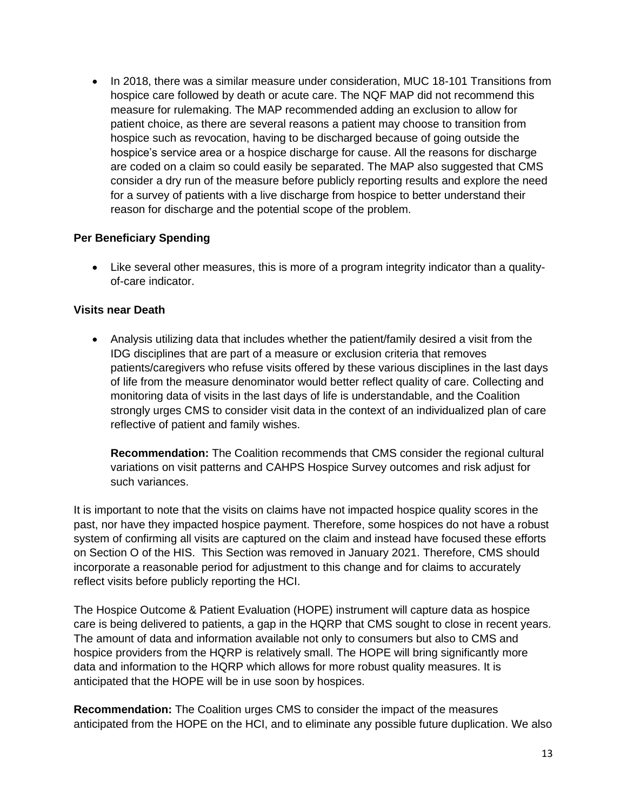• In 2018, there was a similar measure under consideration, MUC 18-101 Transitions from hospice care followed by death or acute care. The NQF MAP did not recommend this measure for rulemaking. The MAP recommended adding an exclusion to allow for patient choice, as there are several reasons a patient may choose to transition from hospice such as revocation, having to be discharged because of going outside the hospice's service area or a hospice discharge for cause. All the reasons for discharge are coded on a claim so could easily be separated. The MAP also suggested that CMS consider a dry run of the measure before publicly reporting results and explore the need for a survey of patients with a live discharge from hospice to better understand their reason for discharge and the potential scope of the problem.

#### **Per Beneficiary Spending**

• Like several other measures, this is more of a program integrity indicator than a qualityof-care indicator.

#### **Visits near Death**

• Analysis utilizing data that includes whether the patient/family desired a visit from the IDG disciplines that are part of a measure or exclusion criteria that removes patients/caregivers who refuse visits offered by these various disciplines in the last days of life from the measure denominator would better reflect quality of care. Collecting and monitoring data of visits in the last days of life is understandable, and the Coalition strongly urges CMS to consider visit data in the context of an individualized plan of care reflective of patient and family wishes.

**Recommendation:** The Coalition recommends that CMS consider the regional cultural variations on visit patterns and CAHPS Hospice Survey outcomes and risk adjust for such variances.

It is important to note that the visits on claims have not impacted hospice quality scores in the past, nor have they impacted hospice payment. Therefore, some hospices do not have a robust system of confirming all visits are captured on the claim and instead have focused these efforts on Section O of the HIS. This Section was removed in January 2021. Therefore, CMS should incorporate a reasonable period for adjustment to this change and for claims to accurately reflect visits before publicly reporting the HCI.

The Hospice Outcome & Patient Evaluation (HOPE) instrument will capture data as hospice care is being delivered to patients, a gap in the HQRP that CMS sought to close in recent years. The amount of data and information available not only to consumers but also to CMS and hospice providers from the HQRP is relatively small. The HOPE will bring significantly more data and information to the HQRP which allows for more robust quality measures. It is anticipated that the HOPE will be in use soon by hospices.

**Recommendation:** The Coalition urges CMS to consider the impact of the measures anticipated from the HOPE on the HCI, and to eliminate any possible future duplication. We also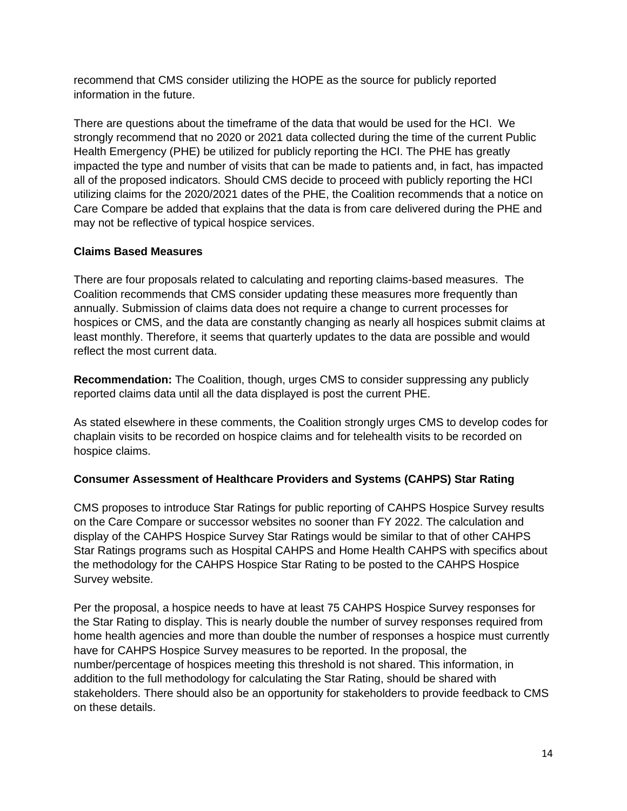recommend that CMS consider utilizing the HOPE as the source for publicly reported information in the future.

There are questions about the timeframe of the data that would be used for the HCI. We strongly recommend that no 2020 or 2021 data collected during the time of the current Public Health Emergency (PHE) be utilized for publicly reporting the HCI. The PHE has greatly impacted the type and number of visits that can be made to patients and, in fact, has impacted all of the proposed indicators. Should CMS decide to proceed with publicly reporting the HCI utilizing claims for the 2020/2021 dates of the PHE, the Coalition recommends that a notice on Care Compare be added that explains that the data is from care delivered during the PHE and may not be reflective of typical hospice services.

# **Claims Based Measures**

There are four proposals related to calculating and reporting claims-based measures. The Coalition recommends that CMS consider updating these measures more frequently than annually. Submission of claims data does not require a change to current processes for hospices or CMS, and the data are constantly changing as nearly all hospices submit claims at least monthly. Therefore, it seems that quarterly updates to the data are possible and would reflect the most current data.

**Recommendation:** The Coalition, though, urges CMS to consider suppressing any publicly reported claims data until all the data displayed is post the current PHE.

As stated elsewhere in these comments, the Coalition strongly urges CMS to develop codes for chaplain visits to be recorded on hospice claims and for telehealth visits to be recorded on hospice claims.

#### **Consumer Assessment of Healthcare Providers and Systems (CAHPS) Star Rating**

CMS proposes to introduce Star Ratings for public reporting of CAHPS Hospice Survey results on the Care Compare or successor websites no sooner than FY 2022. The calculation and display of the CAHPS Hospice Survey Star Ratings would be similar to that of other CAHPS Star Ratings programs such as Hospital CAHPS and Home Health CAHPS with specifics about the methodology for the CAHPS Hospice Star Rating to be posted to the CAHPS Hospice Survey website.

Per the proposal, a hospice needs to have at least 75 CAHPS Hospice Survey responses for the Star Rating to display. This is nearly double the number of survey responses required from home health agencies and more than double the number of responses a hospice must currently have for CAHPS Hospice Survey measures to be reported. In the proposal, the number/percentage of hospices meeting this threshold is not shared. This information, in addition to the full methodology for calculating the Star Rating, should be shared with stakeholders. There should also be an opportunity for stakeholders to provide feedback to CMS on these details.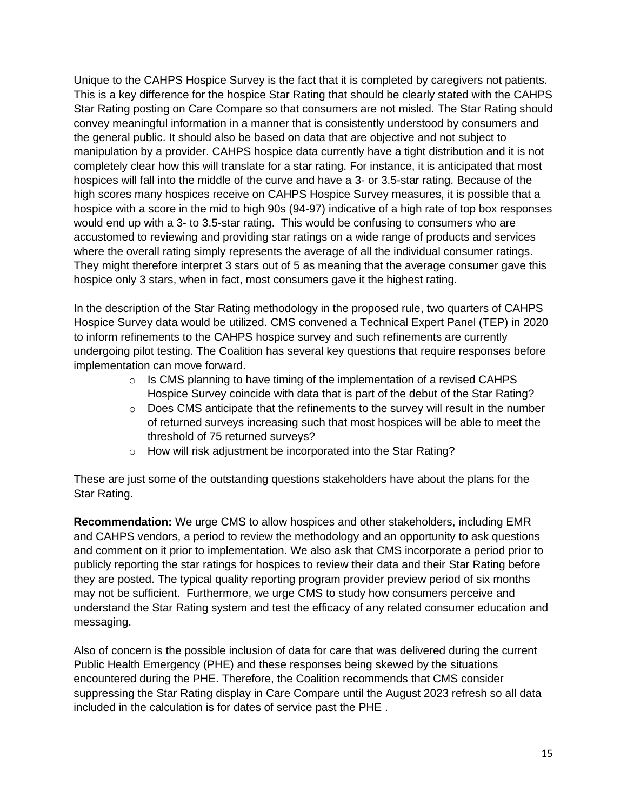Unique to the CAHPS Hospice Survey is the fact that it is completed by caregivers not patients. This is a key difference for the hospice Star Rating that should be clearly stated with the CAHPS Star Rating posting on Care Compare so that consumers are not misled. The Star Rating should convey meaningful information in a manner that is consistently understood by consumers and the general public. It should also be based on data that are objective and not subject to manipulation by a provider. CAHPS hospice data currently have a tight distribution and it is not completely clear how this will translate for a star rating. For instance, it is anticipated that most hospices will fall into the middle of the curve and have a 3- or 3.5-star rating. Because of the high scores many hospices receive on CAHPS Hospice Survey measures, it is possible that a hospice with a score in the mid to high 90s (94-97) indicative of a high rate of top box responses would end up with a 3- to 3.5-star rating. This would be confusing to consumers who are accustomed to reviewing and providing star ratings on a wide range of products and services where the overall rating simply represents the average of all the individual consumer ratings. They might therefore interpret 3 stars out of 5 as meaning that the average consumer gave this hospice only 3 stars, when in fact, most consumers gave it the highest rating.

In the description of the Star Rating methodology in the proposed rule, two quarters of CAHPS Hospice Survey data would be utilized. CMS convened a Technical Expert Panel (TEP) in 2020 to inform refinements to the CAHPS hospice survey and such refinements are currently undergoing pilot testing. The Coalition has several key questions that require responses before implementation can move forward.

- $\circ$  Is CMS planning to have timing of the implementation of a revised CAHPS Hospice Survey coincide with data that is part of the debut of the Star Rating?
- $\circ$  Does CMS anticipate that the refinements to the survey will result in the number of returned surveys increasing such that most hospices will be able to meet the threshold of 75 returned surveys?
- o How will risk adjustment be incorporated into the Star Rating?

These are just some of the outstanding questions stakeholders have about the plans for the Star Rating.

**Recommendation:** We urge CMS to allow hospices and other stakeholders, including EMR and CAHPS vendors, a period to review the methodology and an opportunity to ask questions and comment on it prior to implementation. We also ask that CMS incorporate a period prior to publicly reporting the star ratings for hospices to review their data and their Star Rating before they are posted. The typical quality reporting program provider preview period of six months may not be sufficient. Furthermore, we urge CMS to study how consumers perceive and understand the Star Rating system and test the efficacy of any related consumer education and messaging.

Also of concern is the possible inclusion of data for care that was delivered during the current Public Health Emergency (PHE) and these responses being skewed by the situations encountered during the PHE. Therefore, the Coalition recommends that CMS consider suppressing the Star Rating display in Care Compare until the August 2023 refresh so all data included in the calculation is for dates of service past the PHE .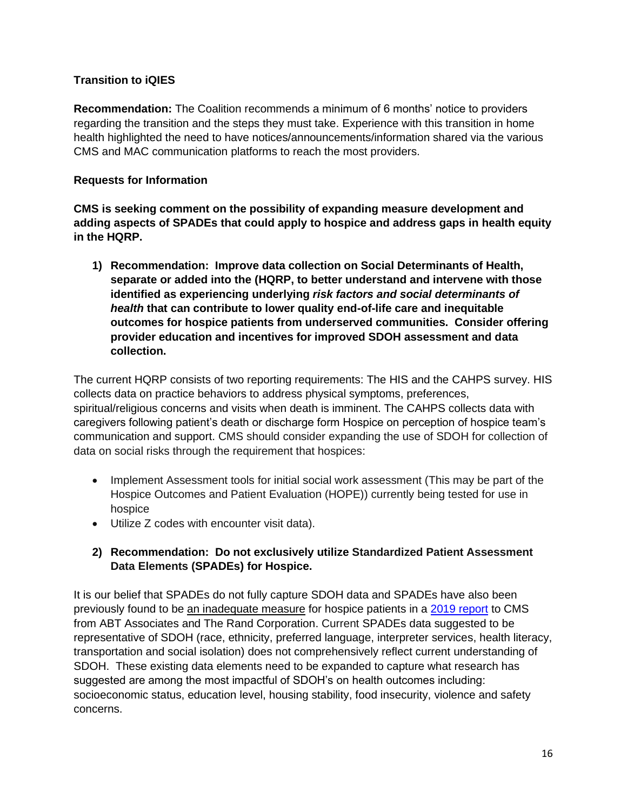# **Transition to iQIES**

**Recommendation:** The Coalition recommends a minimum of 6 months' notice to providers regarding the transition and the steps they must take. Experience with this transition in home health highlighted the need to have notices/announcements/information shared via the various CMS and MAC communication platforms to reach the most providers.

### **Requests for Information**

**CMS is seeking comment on the possibility of expanding measure development and adding aspects of SPADEs that could apply to hospice and address gaps in health equity in the HQRP.** 

**1) Recommendation: Improve data collection on Social Determinants of Health, separate or added into the (HQRP, to better understand and intervene with those identified as experiencing underlying** *risk factors and social determinants of health* **that can contribute to lower quality end-of-life care and inequitable outcomes for hospice patients from underserved communities. Consider offering provider education and incentives for improved SDOH assessment and data collection.**

The current HQRP consists of two reporting requirements: The HIS and the CAHPS survey. HIS collects data on practice behaviors to address physical symptoms, preferences, spiritual/religious concerns and visits when death is imminent. The CAHPS collects data with caregivers following patient's death or discharge form Hospice on perception of hospice team's communication and support. CMS should consider expanding the use of SDOH for collection of data on social risks through the requirement that hospices:

- Implement Assessment tools for initial social work assessment (This may be part of the Hospice Outcomes and Patient Evaluation (HOPE)) currently being tested for use in hospice
- Utilize Z codes with encounter visit data).

# **2) Recommendation: Do not exclusively utilize Standardized Patient Assessment Data Elements (SPADEs) for Hospice.**

It is our belief that SPADEs do not fully capture SDOH data and SPADEs have also been previously found to be an inadequate measure for hospice patients in a [2019 report](https://www.cms.gov/Medicare/Quality-Initiatives-Patient-Assessment-Instruments/HomeHealthQualityInits/Downloads/Proposed-Specifications-for-HH-QRP-Quality-Measures-and-SPADE.pdf) to CMS from ABT Associates and The Rand Corporation. Current SPADEs data suggested to be representative of SDOH (race, ethnicity, preferred language, interpreter services, health literacy, transportation and social isolation) does not comprehensively reflect current understanding of SDOH. These existing data elements need to be expanded to capture what research has suggested are among the most impactful of SDOH's on health outcomes including: socioeconomic status, education level, housing stability, food insecurity, violence and safety concerns.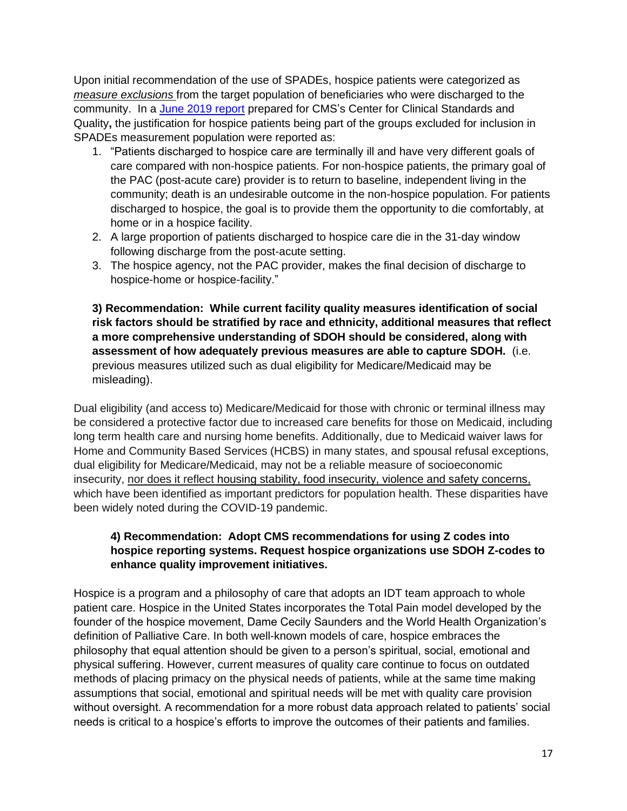Upon initial recommendation of the use of SPADEs, hospice patients were categorized as *measure exclusions* from the target population of beneficiaries who were discharged to the community. In a [June 2019 report](https://www.cms.gov/Medicare/Quality-Initiatives-Patient-Assessment-Instruments/HomeHealthQualityInits/Downloads/Proposed-Specifications-for-HH-QRP-Quality-Measures-and-SPADE.pdf) prepared for CMS's Center for Clinical Standards and Quality**,** the justification for hospice patients being part of the groups excluded for inclusion in SPADEs measurement population were reported as:

- 1. "Patients discharged to hospice care are terminally ill and have very different goals of care compared with non-hospice patients. For non-hospice patients, the primary goal of the PAC (post-acute care) provider is to return to baseline, independent living in the community; death is an undesirable outcome in the non-hospice population. For patients discharged to hospice, the goal is to provide them the opportunity to die comfortably, at home or in a hospice facility.
- 2. A large proportion of patients discharged to hospice care die in the 31-day window following discharge from the post-acute setting.
- 3. The hospice agency, not the PAC provider, makes the final decision of discharge to hospice-home or hospice-facility."

**3) Recommendation: While current facility quality measures identification of social risk factors should be stratified by race and ethnicity, additional measures that reflect a more comprehensive understanding of SDOH should be considered, along with assessment of how adequately previous measures are able to capture SDOH.** (i.e. previous measures utilized such as dual eligibility for Medicare/Medicaid may be misleading).

Dual eligibility (and access to) Medicare/Medicaid for those with chronic or terminal illness may be considered a protective factor due to increased care benefits for those on Medicaid, including long term health care and nursing home benefits. Additionally, due to Medicaid waiver laws for Home and Community Based Services (HCBS) in many states, and spousal refusal exceptions, dual eligibility for Medicare/Medicaid, may not be a reliable measure of socioeconomic insecurity, nor does it reflect housing stability, food insecurity, violence and safety concerns, which have been identified as important predictors for population health. These disparities have been widely noted during the COVID-19 pandemic.

# **4) Recommendation: Adopt CMS recommendations for using Z codes into hospice reporting systems. Request hospice organizations use SDOH Z-codes to enhance quality improvement initiatives.**

Hospice is a program and a philosophy of care that adopts an IDT team approach to whole patient care. Hospice in the United States incorporates the Total Pain model developed by the founder of the hospice movement, Dame Cecily Saunders and the World Health Organization's definition of Palliative Care. In both well-known models of care, hospice embraces the philosophy that equal attention should be given to a person's spiritual, social, emotional and physical suffering. However, current measures of quality care continue to focus on outdated methods of placing primacy on the physical needs of patients, while at the same time making assumptions that social, emotional and spiritual needs will be met with quality care provision without oversight. A recommendation for a more robust data approach related to patients' social needs is critical to a hospice's efforts to improve the outcomes of their patients and families.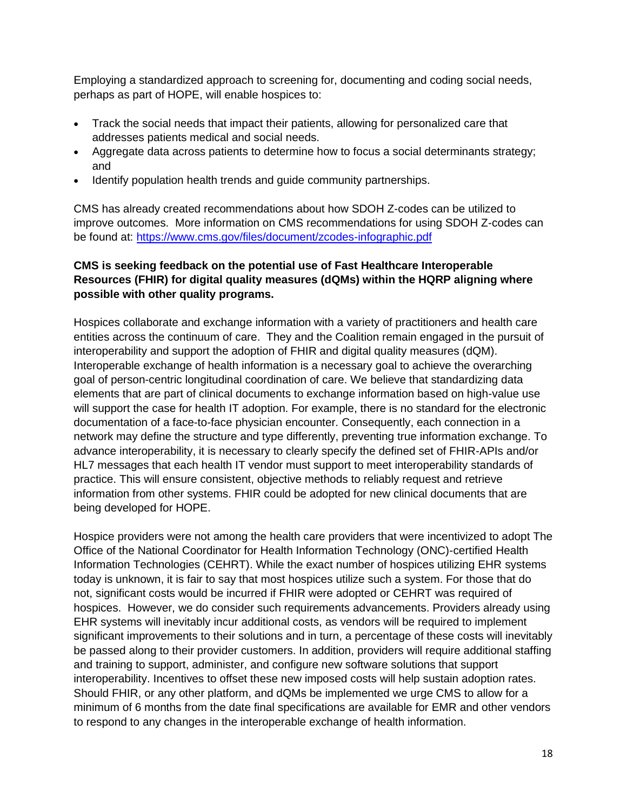Employing a standardized approach to screening for, documenting and coding social needs, perhaps as part of HOPE, will enable hospices to:

- Track the social needs that impact their patients, allowing for personalized care that addresses patients medical and social needs.
- Aggregate data across patients to determine how to focus a social determinants strategy; and
- Identify population health trends and guide community partnerships.

CMS has already created recommendations about how SDOH Z-codes can be utilized to improve outcomes. More information on CMS recommendations for using SDOH Z-codes can be found at:<https://www.cms.gov/files/document/zcodes-infographic.pdf>

# **CMS is seeking feedback on the potential use of Fast Healthcare Interoperable Resources (FHIR) for digital quality measures (dQMs) within the HQRP aligning where possible with other quality programs.**

Hospices collaborate and exchange information with a variety of practitioners and health care entities across the continuum of care. They and the Coalition remain engaged in the pursuit of interoperability and support the adoption of FHIR and digital quality measures (dQM). Interoperable exchange of health information is a necessary goal to achieve the overarching goal of person-centric longitudinal coordination of care. We believe that standardizing data elements that are part of clinical documents to exchange information based on high-value use will support the case for health IT adoption. For example, there is no standard for the electronic documentation of a face-to-face physician encounter. Consequently, each connection in a network may define the structure and type differently, preventing true information exchange. To advance interoperability, it is necessary to clearly specify the defined set of FHIR-APIs and/or HL7 messages that each health IT vendor must support to meet interoperability standards of practice. This will ensure consistent, objective methods to reliably request and retrieve information from other systems. FHIR could be adopted for new clinical documents that are being developed for HOPE.

Hospice providers were not among the health care providers that were incentivized to adopt The Office of the National Coordinator for Health Information Technology (ONC)-certified Health Information Technologies (CEHRT). While the exact number of hospices utilizing EHR systems today is unknown, it is fair to say that most hospices utilize such a system. For those that do not, significant costs would be incurred if FHIR were adopted or CEHRT was required of hospices. However, we do consider such requirements advancements. Providers already using EHR systems will inevitably incur additional costs, as vendors will be required to implement significant improvements to their solutions and in turn, a percentage of these costs will inevitably be passed along to their provider customers. In addition, providers will require additional staffing and training to support, administer, and configure new software solutions that support interoperability. Incentives to offset these new imposed costs will help sustain adoption rates. Should FHIR, or any other platform, and dQMs be implemented we urge CMS to allow for a minimum of 6 months from the date final specifications are available for EMR and other vendors to respond to any changes in the interoperable exchange of health information.